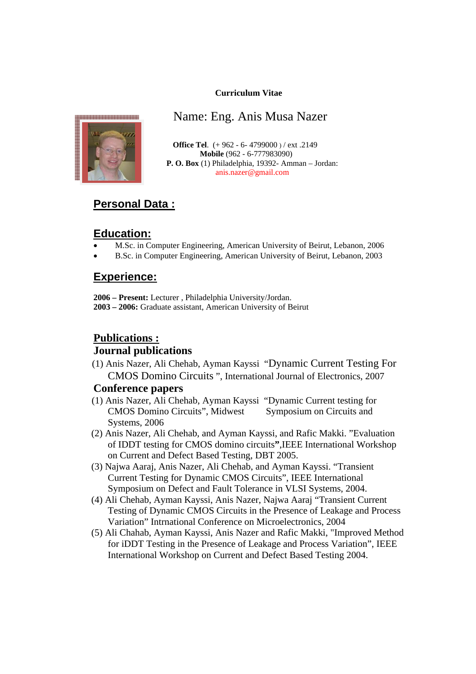#### **Curriculum Vitae**



Name: Eng. Anis Musa Nazer

 **Office Tel**. (+ <sup>962</sup> - 6- 4799000 ) / ext .2149 **Mobile** (962 - 6-777983090) **P. O. Box** (1) Philadelphia, 19392- Amman – Jordan: anis.nazer@gmail.com

# **Personal Data :**

### **Education:**

- M.Sc. in Computer Engineering, American University of Beirut, Lebanon, 2006
- B.Sc. in Computer Engineering, American University of Beirut, Lebanon, 2003

### **Experience:**

**2006 – Present:** Lecturer , Philadelphia University/Jordan. **2003 – 2006:** Graduate assistant, American University of Beirut

## **Publications :**

### **Journal publications**

(1) Anis Nazer, Ali Chehab, Ayman Kayssi "Dynamic Current Testing For CMOS Domino Circuits ", International Journal of Electronics, 2007

### **Conference papers**

- (1) Anis Nazer, Ali Chehab, Ayman Kayssi "Dynamic Current testing for CMOS Domino Circuits", Midwest Symposium on Circuits and Systems, 2006
- (2) Anis Nazer, Ali Chehab, and Ayman Kayssi, and Rafic Makki. "Evaluation of IDDT testing for CMOS domino circuits**"**,IEEE International Workshop on Current and Defect Based Testing, DBT 2005.
- (3) Najwa Aaraj, Anis Nazer, Ali Chehab, and Ayman Kayssi. "Transient Current Testing for Dynamic CMOS Circuits", IEEE International Symposium on Defect and Fault Tolerance in VLSI Systems, 2004.
- (4) Ali Chehab, Ayman Kayssi, Anis Nazer, Najwa Aaraj "Transient Current Testing of Dynamic CMOS Circuits in the Presence of Leakage and Process Variation" Intrnational Conference on Microelectronics, 2004
- (5) Ali Chahab, Ayman Kayssi, Anis Nazer and Rafic Makki, "Improved Method for iDDT Testing in the Presence of Leakage and Process Variation", IEEE International Workshop on Current and Defect Based Testing 2004.